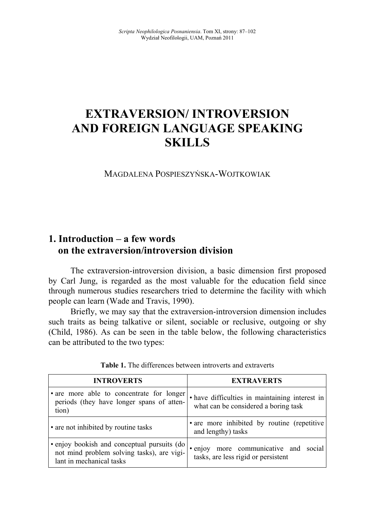# **EXTRAVERSION/ INTROVERSION** AND FOREIGN LANGUAGE SPEAKING **SKILLS**

MAGDALENA POSPIESZYŃSKA-WOJTKOWIAK

## **1. Introduction – a few words on the extraversion/introversion division**

The extraversion-introversion division, a basic dimension first proposed by Carl Jung, is regarded as the most valuable for the education field since through numerous studies researchers tried to determine the facility with which people can learn (Wade and Travis, 1990).

Briefly, we may say that the extraversion-introversion dimension includes such traits as being talkative or silent, sociable or reclusive, outgoing or shy (Child, 1986). As can be seen in the table below, the following characteristics can be attributed to the two types:

| <b>INTROVERTS</b>                                                                                                     | <b>EXTRAVERTS</b>                                                                      |
|-----------------------------------------------------------------------------------------------------------------------|----------------------------------------------------------------------------------------|
| • are more able to concentrate for longer<br>periods (they have longer spans of atten-<br>tion)                       | • have difficulties in maintaining interest in<br>what can be considered a boring task |
| • are not inhibited by routine tasks                                                                                  | • are more inhibited by routine (repetitive<br>and lengthy) tasks                      |
| · enjoy bookish and conceptual pursuits (do<br>not mind problem solving tasks), are vigi-<br>lant in mechanical tasks | · enjoy more communicative and social<br>tasks, are less rigid or persistent           |

**Table 1.** The differences between introverts and extraverts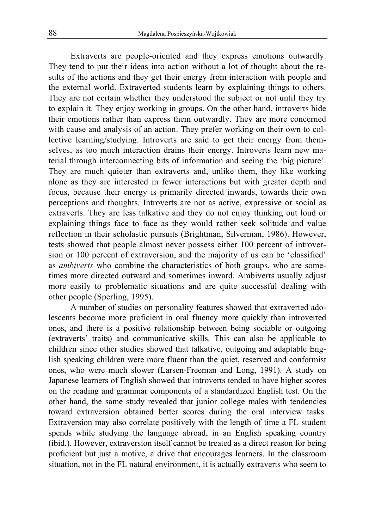Extraverts are people-oriented and they express emotions outwardly. They tend to put their ideas into action without a lot of thought about the results of the actions and they get their energy from interaction with people and the external world. Extraverted students learn by explaining things to others. They are not certain whether they understood the subject or not until they try to explain it. They enjoy working in groups. On the other hand, introverts hide their emotions rather than express them outwardly. They are more concerned with cause and analysis of an action. They prefer working on their own to collective learning/studying. Introverts are said to get their energy from themselves, as too much interaction drains their energy. Introverts learn new material through interconnecting bits of information and seeing the 'big picture'. They are much quieter than extraverts and, unlike them, they like working alone as they are interested in fewer interactions but with greater depth and focus, because their energy is primarily directed inwards, towards their own perceptions and thoughts. Introverts are not as active, expressive or social as extraverts. They are less talkative and they do not enjoy thinking out loud or explaining things face to face as they would rather seek solitude and value reflection in their scholastic pursuits (Brightman, Silverman, 1986). However, tests showed that people almost never possess either 100 percent of introversion or 100 percent of extraversion, and the majority of us can be 'classified' as *ambiverts* who combine the characteristics of both groups, who are sometimes more directed outward and sometimes inward. Ambiverts usually adjust more easily to problematic situations and are quite successful dealing with other people (Sperling, 1995).

A number of studies on personality features showed that extraverted adolescents become more proficient in oral fluency more quickly than introverted ones, and there is a positive relationship between being sociable or outgoing (extraverts' traits) and communicative skills. This can also be applicable to children since other studies showed that talkative, outgoing and adaptable English speaking children were more fluent than the quiet, reserved and conformist ones, who were much slower (Larsen-Freeman and Long, 1991). A study on Japanese learners of English showed that introverts tended to have higher scores on the reading and grammar components of a standardized English test. On the other hand, the same study revealed that junior college males with tendencies toward extraversion obtained better scores during the oral interview tasks. Extraversion may also correlate positively with the length of time a FL student spends while studying the language abroad, in an English speaking country (ibid.). However, extraversion itself cannot be treated as a direct reason for being proficient but just a motive, a drive that encourages learners. In the classroom situation, not in the FL natural environment, it is actually extraverts who seem to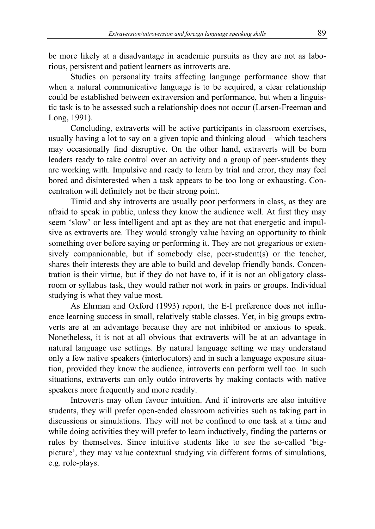be more likely at a disadvantage in academic pursuits as they are not as laborious, persistent and patient learners as introverts are.

Studies on personality traits affecting language performance show that when a natural communicative language is to be acquired, a clear relationship could be established between extraversion and performance, but when a linguistic task is to be assessed such a relationship does not occur (Larsen-Freeman and Long, 1991).

Concluding, extraverts will be active participants in classroom exercises, usually having a lot to say on a given topic and thinking aloud – which teachers may occasionally find disruptive. On the other hand, extraverts will be born leaders ready to take control over an activity and a group of peer-students they are working with. Impulsive and ready to learn by trial and error, they may feel bored and disinterested when a task appears to be too long or exhausting. Concentration will definitely not be their strong point.

Timid and shy introverts are usually poor performers in class, as they are afraid to speak in public, unless they know the audience well. At first they may seem 'slow' or less intelligent and apt as they are not that energetic and impulsive as extraverts are. They would strongly value having an opportunity to think something over before saying or performing it. They are not gregarious or extensively companionable, but if somebody else, peer-student(s) or the teacher, shares their interests they are able to build and develop friendly bonds. Concentration is their virtue, but if they do not have to, if it is not an obligatory classroom or syllabus task, they would rather not work in pairs or groups. Individual studying is what they value most.

As Ehrman and Oxford (1993) report, the E-I preference does not influence learning success in small, relatively stable classes. Yet, in big groups extraverts are at an advantage because they are not inhibited or anxious to speak. Nonetheless, it is not at all obvious that extraverts will be at an advantage in natural language use settings. By natural language setting we may understand only a few native speakers (interlocutors) and in such a language exposure situation, provided they know the audience, introverts can perform well too. In such situations, extraverts can only outdo introverts by making contacts with native speakers more frequently and more readily.

Introverts may often favour intuition. And if introverts are also intuitive students, they will prefer open-ended classroom activities such as taking part in discussions or simulations. They will not be confined to one task at a time and while doing activities they will prefer to learn inductively, finding the patterns or rules by themselves. Since intuitive students like to see the so-called 'bigpicture', they may value contextual studying via different forms of simulations, e.g. role-plays.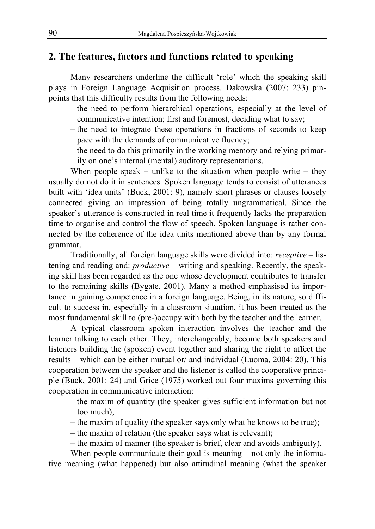## **2. The features, factors and functions related to speaking**

Many researchers underline the difficult 'role' which the speaking skill plays in Foreign Language Acquisition process. Dakowska (2007: 233) pinpoints that this difficulty results from the following needs:

- the need to perform hierarchical operations, especially at the level of communicative intention; first and foremost, deciding what to say;
- the need to integrate these operations in fractions of seconds to keep pace with the demands of communicative fluency;
- the need to do this primarily in the working memory and relying primarily on one's internal (mental) auditory representations.

When people speak – unlike to the situation when people write – they usually do not do it in sentences. Spoken language tends to consist of utterances built with 'idea units' (Buck, 2001: 9), namely short phrases or clauses loosely connected giving an impression of being totally ungrammatical. Since the speaker's utterance is constructed in real time it frequently lacks the preparation time to organise and control the flow of speech. Spoken language is rather connected by the coherence of the idea units mentioned above than by any formal grammar.

Traditionally, all foreign language skills were divided into: *receptive* – listening and reading and: *productive* – writing and speaking. Recently, the speaking skill has been regarded as the one whose development contributes to transfer to the remaining skills (Bygate, 2001). Many a method emphasised its importance in gaining competence in a foreign language. Being, in its nature, so difficult to success in, especially in a classroom situation, it has been treated as the most fundamental skill to (pre-)occupy with both by the teacher and the learner.

A typical classroom spoken interaction involves the teacher and the learner talking to each other. They, interchangeably, become both speakers and listeners building the (spoken) event together and sharing the right to affect the results – which can be either mutual or/ and individual (Luoma, 2004: 20). This cooperation between the speaker and the listener is called the cooperative principle (Buck, 2001: 24) and Grice (1975) worked out four maxims governing this cooperation in communicative interaction:

- the maxim of quantity (the speaker gives sufficient information but not too much);
- the maxim of quality (the speaker says only what he knows to be true);
- the maxim of relation (the speaker says what is relevant);
- the maxim of manner (the speaker is brief, clear and avoids ambiguity).

When people communicate their goal is meaning – not only the informative meaning (what happened) but also attitudinal meaning (what the speaker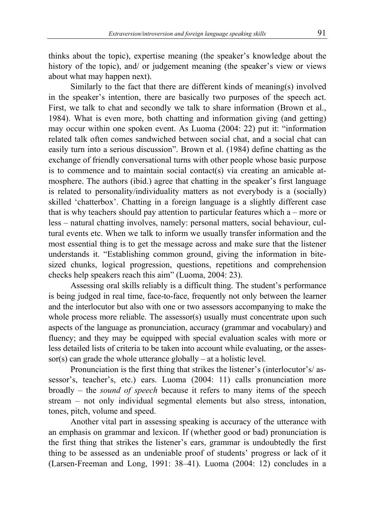thinks about the topic), expertise meaning (the speaker's knowledge about the history of the topic), and/ or judgement meaning (the speaker's view or views about what may happen next).

Similarly to the fact that there are different kinds of meaning(s) involved in the speaker's intention, there are basically two purposes of the speech act. First, we talk to chat and secondly we talk to share information (Brown et al., 1984). What is even more, both chatting and information giving (and getting) may occur within one spoken event. As Luoma (2004: 22) put it: "information related talk often comes sandwiched between social chat, and a social chat can easily turn into a serious discussion". Brown et al. (1984) define chatting as the exchange of friendly conversational turns with other people whose basic purpose is to commence and to maintain social contact(s) via creating an amicable atmosphere. The authors (ibid.) agree that chatting in the speaker's first language is related to personality/individuality matters as not everybody is a (socially) skilled 'chatterbox'. Chatting in a foreign language is a slightly different case that is why teachers should pay attention to particular features which  $a$  – more or less – natural chatting involves, namely: personal matters, social behaviour, cultural events etc. When we talk to inform we usually transfer information and the most essential thing is to get the message across and make sure that the listener understands it. "Establishing common ground, giving the information in bitesized chunks, logical progression, questions, repetitions and comprehension checks help speakers reach this aim" (Luoma, 2004: 23).

Assessing oral skills reliably is a difficult thing. The student's performance is being judged in real time, face-to-face, frequently not only between the learner and the interlocutor but also with one or two assessors accompanying to make the whole process more reliable. The assessor(s) usually must concentrate upon such aspects of the language as pronunciation, accuracy (grammar and vocabulary) and fluency; and they may be equipped with special evaluation scales with more or less detailed lists of criteria to be taken into account while evaluating, or the assessor(s) can grade the whole utterance globally – at a holistic level.

Pronunciation is the first thing that strikes the listener's (interlocutor's/ assessor's, teacher's, etc.) ears. Luoma (2004: 11) calls pronunciation more broadly – the *sound of speech* because it refers to many items of the speech stream – not only individual segmental elements but also stress, intonation, tones, pitch, volume and speed.

Another vital part in assessing speaking is accuracy of the utterance with an emphasis on grammar and lexicon. If (whether good or bad) pronunciation is the first thing that strikes the listener's ears, grammar is undoubtedly the first thing to be assessed as an undeniable proof of students' progress or lack of it (Larsen-Freeman and Long, 1991: 38–41). Luoma (2004: 12) concludes in a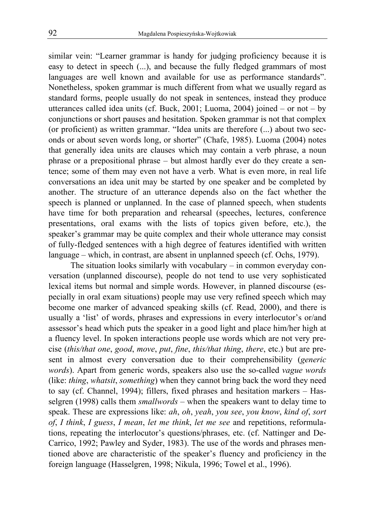similar vein: "Learner grammar is handy for judging proficiency because it is easy to detect in speech (...), and because the fully fledged grammars of most languages are well known and available for use as performance standards". Nonetheless, spoken grammar is much different from what we usually regard as standard forms, people usually do not speak in sentences, instead they produce utterances called idea units (cf. Buck, 2001; Luoma, 2004) joined – or not – by conjunctions or short pauses and hesitation. Spoken grammar is not that complex (or proficient) as written grammar. "Idea units are therefore (...) about two seconds or about seven words long, or shorter" (Chafe, 1985). Luoma (2004) notes that generally idea units are clauses which may contain a verb phrase, a noun phrase or a prepositional phrase – but almost hardly ever do they create a sentence; some of them may even not have a verb. What is even more, in real life conversations an idea unit may be started by one speaker and be completed by another. The structure of an utterance depends also on the fact whether the speech is planned or unplanned. In the case of planned speech, when students have time for both preparation and rehearsal (speeches, lectures, conference presentations, oral exams with the lists of topics given before, etc.), the speaker's grammar may be quite complex and their whole utterance may consist of fully-fledged sentences with a high degree of features identified with written language – which, in contrast, are absent in unplanned speech (cf. Ochs, 1979).

The situation looks similarly with vocabulary – in common everyday conversation (unplanned discourse), people do not tend to use very sophisticated lexical items but normal and simple words. However, in planned discourse (especially in oral exam situations) people may use very refined speech which may become one marker of advanced speaking skills (cf. Read, 2000), and there is usually a 'list' of words, phrases and expressions in every interlocutor's or/and assessor's head which puts the speaker in a good light and place him/her high at a fluency level. In spoken interactions people use words which are not very precise (*this/that one*, *good*, *move*, *put*, *fine*, *this/that thing*, *there*, etc.) but are present in almost every conversation due to their comprehensibility (*generic words*). Apart from generic words, speakers also use the so-called *vague words* (like: *thing*, *whatsit*, *something*) when they cannot bring back the word they need to say (cf. Channel, 1994); fillers, fixed phrases and hesitation markers – Hasselgren (1998) calls them *smallwords* – when the speakers want to delay time to speak. These are expressions like: *ah*, *oh*, *yeah*, *you see*, *you know*, *kind of*, *sort of*, *I think*, *I guess*, *I mean*, *let me think*, *let me see* and repetitions, reformulations, repeating the interlocutor's questions/phrases, etc. (cf. Nattinger and De-Carrico, 1992; Pawley and Syder, 1983). The use of the words and phrases mentioned above are characteristic of the speaker's fluency and proficiency in the foreign language (Hasselgren, 1998; Nikula, 1996; Towel et al., 1996).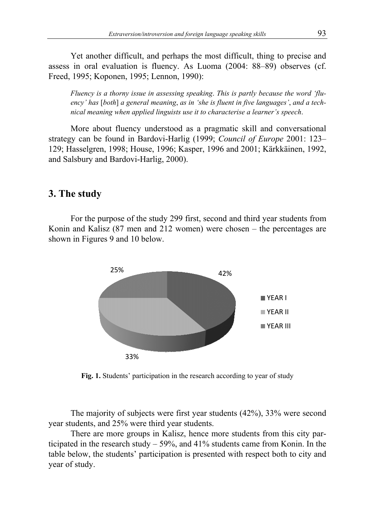assess in oral evaluation is fluency. As Luoma (2004: 88-89) observes (cf. Freed, 1995; Koponen, 1995; Lennon, 1990): Yet another difficult, and perhaps the most difficult, thing to precise and in oral evaluation is fluency. As Luoma (2004: 88–89) observes (cf.

*Fluency is a thorny issue in assessing speaking. This is partly because the word 'flu*ency' has [both] a general meaning, as in 'she is fluent in five languages', and a techency' has [both] a general meaning, as in 'she is fluent in five languages', and<br>nical meaning when applied linguists use it to characterise a learner's speech.

strategy can be found in Bardovi-Harlig (1999; Council of Europe 2001: 123-129; Hasselgren, 1998; House, 1996; Kasper, 1996 and 2001; Kärkkäinen, 1992, and Salsbury and Bar Bardovi-Harlig, 2000). Harlig, More about fluency understood as a pragmatic skill and conversational

### **3. The study**

Konin and Kalisz  $(87 \text{ men and } 212 \text{ women})$  were chosen – the percentages are shown in Figures 9 and 10 below. For the purpose of the study 299 first, second and third year students from House, 1996; Kasper, 1996 and 2001<br>vi-Harlig, 2000).<br>of the study 299 first, second and thin<br>nen and 212 women) were chosen



Fig. 1. Students' participation in the research according to year of study

year students, and 25% were third year students. The majority of subjects were first year students (42%), 33% were second

ticipated in the research study  $-59\%$ , and 41% students came from Konin. In the table below, the students' participation is presented with respect both to city and year of study. There are more groups in Kalisz, hence more students from this city par-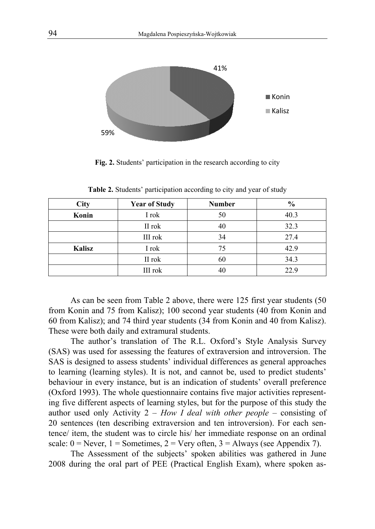

**Fig Fig. 2.** Students' participation in the research according to city

| City   | <b>Year of Study</b> | <b>Number</b> | $\frac{0}{0}$ |  |
|--------|----------------------|---------------|---------------|--|
| Konin  | I rok                | 50            | 40.3          |  |
|        | II rok               | 40            | 32.3          |  |
|        | III rok              | 34            | 27.4          |  |
| Kalisz | I rok                | 75            | 42.9          |  |
|        | II rok               | 60            | 34.3          |  |
|        | III rok              | 40            | 22.9          |  |

Table 2. Students' participation according to city and year of study

from Konin and 75 from Kalisz); 100 second year students (40 from Konin and 60 from Kalisz); and 74 third year students (34 from Konin and 40 from Kalisz). These were both daily and extramural students. As can be seen from Table 2 above, there were 125 first year students (50 from Konin and 75 from Kalisz); 100 second year students (40 from Konin and 60 from Kalisz); and 74 third year students (34 from Konin and 40 from Kalisz).<br>These were both daily and extramural students.<br>The author's transl

(SAS) was used for assessing the features of extraversion and introversion. The SAS is designed to assess students' individual differences as general approaches (SAS) was used for assessing the features of extraversion and introversion. The SAS is designed to assess students' individual differences as general approaches to learning (learning styles). It is not, and cannot be, used behaviour in every instance, but is an indication of students' (Oxford 1993). The whole questionnaire contains five major activities represent-<br>ing five different aspects of learning styles, but for the purpose of this study the ing five different aspects of learning styles, but for the purpose of this study the author used only Activity 2 – How I deal with other people – consisting of 20 sentences (ten describing extraversion and ten introversion). For each sentence/ item, the student was to circle his/ her immediate response on an ordinal 20 sentences (ten describing extraversion and ten introversion). For each sentence/ item, the student was to circle his/ her immediate response on an ordinal scale:  $0 =$  Never,  $1 =$  Sometimes,  $2 =$  Very often,  $3 =$  Always The author's translation of The R.L. Oxford **Example 18**<br> **Example 18**<br> **Example 18**<br> **Example 18**<br> **Example 19**<br> **Example 19**<br> **Example 19**<br> **Example 19**<br> **Example 19**<br> **Example 19**<br> **Example 19**<br> **Example 19**<br> **Example 19**<br> **Example 19**<br> **Example 19**<br> **Example 19** s Style Analysis Survey<br>
ion and introversion. The<br>
ces as general approaches<br>
used to predict students'<br>
udents' overall preference

2008 during the oral part of PEE (Practical English Exam), where spoken a as-The Assessment of the subjects' spoken abilities was gathered in June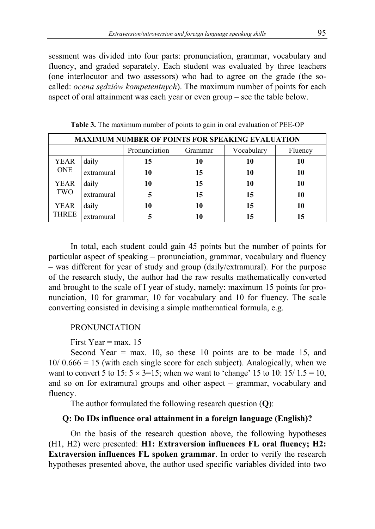sessment was divided into four parts: pronunciation, grammar, vocabulary and fluency, and graded separately. Each student was evaluated by three teachers (one interlocutor and two assessors) who had to agree on the grade (the socalled: *ocena sędziów kompetentnych*). The maximum number of points for each aspect of oral attainment was each year or even group – see the table below.

| <b>MAXIMUM NUMBER OF POINTS FOR SPEAKING EVALUATION</b> |            |               |         |            |         |
|---------------------------------------------------------|------------|---------------|---------|------------|---------|
|                                                         |            | Pronunciation | Grammar | Vocabulary | Fluency |
| <b>YEAR</b>                                             | daily      | 15            | 10      | 10         | 10      |
| <b>ONE</b>                                              | extramural | 10            | 15      | 10         | 10      |
| <b>YEAR</b>                                             | daily      | 10            | 15      | 10         | 10      |
| TWO                                                     | extramural |               | 15      | 15         | 10      |
| <b>YEAR</b>                                             | daily      | 10            | 10      | 15         | 10      |
| <b>THREE</b>                                            | extramural |               | 10      |            | 15      |

**Table 3.** The maximum number of points to gain in oral evaluation of PEE-OP

In total, each student could gain 45 points but the number of points for particular aspect of speaking – pronunciation, grammar, vocabulary and fluency – was different for year of study and group (daily/extramural). For the purpose of the research study, the author had the raw results mathematically converted and brought to the scale of I year of study, namely: maximum 15 points for pronunciation, 10 for grammar, 10 for vocabulary and 10 for fluency. The scale converting consisted in devising a simple mathematical formula, e.g.

#### PRONUNCIATION

First Year =  $max. 15$ 

Second Year  $=$  max. 10, so these 10 points are to be made 15, and  $10/0.666 = 15$  (with each single score for each subject). Analogically, when we want to convert 5 to 15:  $5 \times 3 = 15$ ; when we want to 'change' 15 to 10: 15/ 1.5 = 10, and so on for extramural groups and other aspect – grammar, vocabulary and fluency.

The author formulated the following research question (**Q**):

#### **Q: Do IDs influence oral attainment in a foreign language (English)?**

On the basis of the research question above, the following hypotheses (H1, H2) were presented: **H1: Extraversion influences FL oral fluency; H2: Extraversion influences FL spoken grammar**. In order to verify the research hypotheses presented above, the author used specific variables divided into two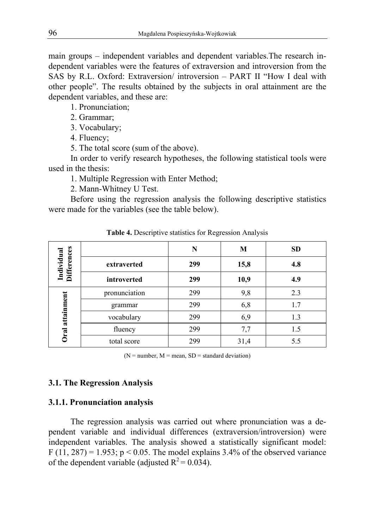main groups – independent variables and dependent variables.The research independent variables were the features of extraversion and introversion from the SAS by R.L. Oxford: Extraversion/ introversion – PART II "How I deal with other people". The results obtained by the subjects in oral attainment are the dependent variables, and these are:

1. Pronunciation;

2. Grammar;

3. Vocabulary;

4. Fluency;

5. The total score (sum of the above).

In order to verify research hypotheses, the following statistical tools were used in the thesis:

1. Multiple Regression with Enter Method;

2. Mann-Whitney U Test.

Before using the regression analysis the following descriptive statistics were made for the variables (see the table below).

|                                  |               | N   | M    | <b>SD</b> |
|----------------------------------|---------------|-----|------|-----------|
| <b>Differences</b><br>Individual | extraverted   | 299 | 15,8 | 4.8       |
|                                  | introverted   | 299 | 10,9 | 4.9       |
|                                  | pronunciation | 299 | 9,8  | 2.3       |
|                                  | grammar       | 299 | 6,8  | 1.7       |
| Oral attainment                  | vocabulary    | 299 | 6,9  | 1.3       |
|                                  | fluency       | 299 | 7,7  | 1.5       |
|                                  | total score   | 299 | 31,4 | 5.5       |

**Table 4.** Descriptive statistics for Regression Analysis

 $(N = number, M = mean, SD = standard deviation)$ 

#### **3.1. The Regression Analysis**

#### **3.1.1. Pronunciation analysis**

The regression analysis was carried out where pronunciation was a dependent variable and individual differences (extraversion/introversion) were independent variables. The analysis showed a statistically significant model: F (11, 287) = 1.953; p < 0.05. The model explains 3.4% of the observed variance of the dependent variable (adjusted  $R^2 = 0.034$ ).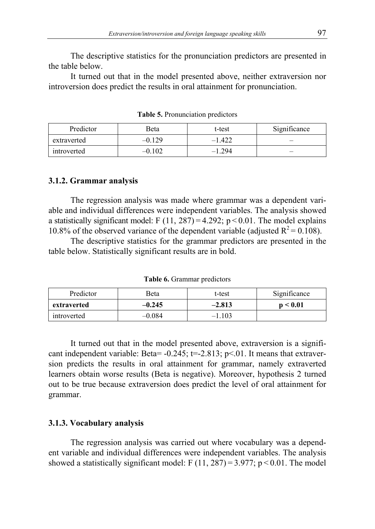The descriptive statistics for the pronunciation predictors are presented in the table below.

It turned out that in the model presented above, neither extraversion nor introversion does predict the results in oral attainment for pronunciation.

| Predictor   | <b>Beta</b> | t-test   | Significance |
|-------------|-------------|----------|--------------|
| extraverted | $-0.129$    | $-1.422$ | –            |
| introverted | .102        | $-1.294$ | –            |

**Table 5.** Pronunciation predictors

#### **3.1.2. Grammar analysis**

The regression analysis was made where grammar was a dependent variable and individual differences were independent variables. The analysis showed a statistically significant model: F  $(11, 287) = 4.292$ ; p < 0.01. The model explains 10.8% of the observed variance of the dependent variable (adjusted  $R^2 = 0.108$ ).

The descriptive statistics for the grammar predictors are presented in the table below. Statistically significant results are in bold.

**Table 6.** Grammar predictors

| Predictor   | Beta     | t-test   | Significance |
|-------------|----------|----------|--------------|
| extraverted | $-0.245$ | $-2.813$ | n < 0.01     |
| introverted | $-0.084$ | $-1.103$ |              |

It turned out that in the model presented above, extraversion is a significant independent variable: Beta=  $-0.245$ ; t=-2.813; p<0.1. It means that extraversion predicts the results in oral attainment for grammar, namely extraverted learners obtain worse results (Beta is negative). Moreover, hypothesis 2 turned out to be true because extraversion does predict the level of oral attainment for grammar.

#### **3.1.3. Vocabulary analysis**

The regression analysis was carried out where vocabulary was a dependent variable and individual differences were independent variables. The analysis showed a statistically significant model: F  $(11, 287) = 3.977$ ; p < 0.01. The model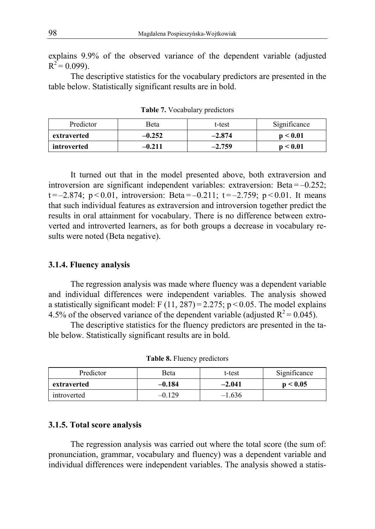explains 9.9% of the observed variance of the dependent variable (adjusted  $R^2$  = 0.099).

The descriptive statistics for the vocabulary predictors are presented in the table below. Statistically significant results are in bold.

| Predictor   | <b>Beta</b> | t-test   | Significance  |
|-------------|-------------|----------|---------------|
| extraverted | $-0.252$    | $-2.874$ | n < 0.01      |
| introverted | -0.211      | $-2.759$ | ${}_{< 0.01}$ |

**Table 7.** Vocabulary predictors

It turned out that in the model presented above, both extraversion and introversion are significant independent variables: extraversion: Beta $=$ -0.252; t =  $-2.874$ ; p < 0.01, introversion: Beta =  $-0.211$ ; t =  $-2.759$ ; p < 0.01. It means that such individual features as extraversion and introversion together predict the results in oral attainment for vocabulary. There is no difference between extroverted and introverted learners, as for both groups a decrease in vocabulary results were noted (Beta negative).

#### **3.1.4. Fluency analysis**

The regression analysis was made where fluency was a dependent variable and individual differences were independent variables. The analysis showed a statistically significant model: F  $(11, 287) = 2.275$ ; p < 0.05. The model explains 4.5% of the observed variance of the dependent variable (adjusted  $R^2$  = 0.045).

The descriptive statistics for the fluency predictors are presented in the table below. Statistically significant results are in bold.

| Predictor   | <b>Beta</b> | t-test   | Significance |
|-------------|-------------|----------|--------------|
| extraverted | $-0.184$    | $-2.041$ | p < 0.05     |
| introverted | $-0.129$    | $-1.636$ |              |

**Table 8.** Fluency predictors

#### **3.1.5. Total score analysis**

The regression analysis was carried out where the total score (the sum of: pronunciation, grammar, vocabulary and fluency) was a dependent variable and individual differences were independent variables. The analysis showed a statis-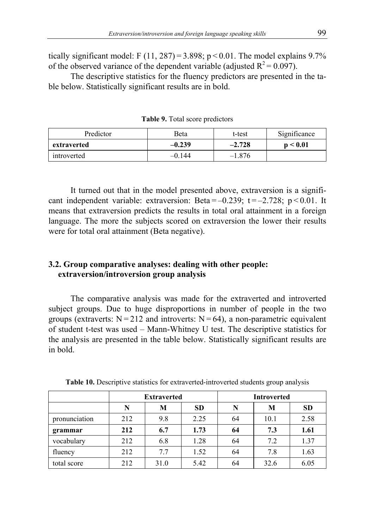tically significant model: F  $(11, 287) = 3.898$ ; p < 0.01. The model explains 9.7% of the observed variance of the dependent variable (adjusted  $R^2 = 0.097$ ).

The descriptive statistics for the fluency predictors are presented in the table below. Statistically significant results are in bold.

| Predictor<br>Beta |          | t-test   | Significance |
|-------------------|----------|----------|--------------|
| extraverted       | $-0.239$ | $-2.728$ | p < 0.01     |
| introverted       | -0.144   | $-1.876$ |              |

**Table 9.** Total score predictors

It turned out that in the model presented above, extraversion is a significant independent variable: extraversion: Beta =  $-0.239$ ; t =  $-2.728$ ; p < 0.01. It means that extraversion predicts the results in total oral attainment in a foreign language. The more the subjects scored on extraversion the lower their results were for total oral attainment (Beta negative).

#### **3.2. Group comparative analyses: dealing with other people: extraversion/introversion group analysis**

The comparative analysis was made for the extraverted and introverted subject groups. Due to huge disproportions in number of people in the two groups (extraverts:  $N = 212$  and introverts:  $N = 64$ ), a non-parametric equivalent of student t-test was used – Mann-Whitney U test. The descriptive statistics for the analysis are presented in the table below. Statistically significant results are in bold.

|               | <b>Extraverted</b> |      |           | <b>Introverted</b> |      |           |
|---------------|--------------------|------|-----------|--------------------|------|-----------|
|               | N                  | М    | <b>SD</b> | N                  | М    | <b>SD</b> |
| pronunciation | 212                | 9.8  | 2.25      | 64                 | 10.1 | 2.58      |
| grammar       | 212                | 6.7  | 1.73      | 64                 | 7.3  | 1.61      |
| vocabulary    | 212                | 6.8  | 1.28      | 64                 | 7.2  | 1.37      |
| fluency       | 212                | 7.7  | 1.52      | 64                 | 7.8  | 1.63      |
| total score   | 212                | 31.0 | 5.42      | 64                 | 32.6 | 6.05      |

**Table 10.** Descriptive statistics for extraverted-introverted students group analysis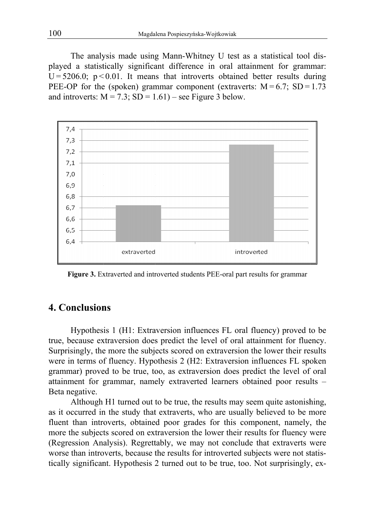played a statistically significant difference in oral attainment for grammar:  $U = 5206.0$ ;  $p < 0.01$ . It means that introverts obtained better results during PEE-OP for the (spoken) grammar component (extraverts:  $M = 6.7$ ; SD = 1.73 U = 5206.0;  $p < 0.01$ . It means that introverts obtained PEE-OP for the (spoken) grammar component (extrave and introverts:  $M = 7.3$ ;  $SD = 1.61$ ) – see Figure 3 below. The analysis made using Mann-Whitney U test as a statistical tool dis-The analysis made using Mann-Whitney U test as a statistical tool played a statistically significant difference in oral attainment for grammar U = 5206.0; p < 0.01. It means that introverts obtained better results du PEE-



Figure 3. Extraverted and introverted students PEE-oral part results for grammar

## **4. Conclusions**

true, because extraversion does predict the level of oral attainment for fluency. Surprisingly, the more the subjects scored on extraversion the lower their results Surprisingly, the more the subjects scored on extraversion the lower their results were in terms of fluency. Hypothesis 2 (H2: Extraversion influences FL spoken grammar) proved to be true, too, as extraversion does predict the level of oral attainment for grammar, namely extraverted learners obtained poor results -Beta negative. Hypothesis 1 (H1: Extraversion influences FL oral fluency) proved to be version influences FL spoken<br>does predict the level of oral<br>ners obtained poor results –<br>s may seem quite astonishing,

as it occurred in the study that extraverts, who are usually believed to be more fluent than introverts, obtained poor grades for this component, namely, the more the subjects scored on extraversion the lower their results for fluency were (Regression Analysis). Regrettably, we may not conclude that extraverts were worse than introverts, because the results for introverted subjects were not statistically significant. Hypothesis 2 turned out to be true, too. Not surprisingly, ex-Although H1 turned out to be true, the results may seem quite astonishing, grammar) proved to be true, too, as extraversion does predict the level of or<br>attainment for grammar, namely extraverted learners obtained poor results<br>Beta negative.<br>Although H1 turned out to be true, the results may seem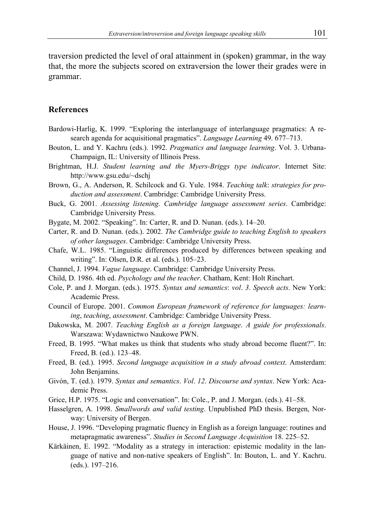traversion predicted the level of oral attainment in (spoken) grammar, in the way that, the more the subjects scored on extraversion the lower their grades were in grammar.

#### **References**

- Bardowi-Harlig, K. 1999. "Exploring the interlanguage of interlanguage pragmatics: A research agenda for acquisitional pragmatics". *Language Learning* 49. 677–713.
- Bouton, L. and Y. Kachru (eds.). 1992. *Pragmatics and language learning*. Vol. 3. Urbana-Champaign, IL: University of Illinois Press.
- Brightman, H.J. *Student learning and the Myers-Briggs type indicator*. Internet Site: http://www.gsu.edu/~dschj
- Brown, G., A. Anderson, R. Schilcock and G. Yule. 1984. *Teaching talk*: *strategies for production and assessment*. Cambridge: Cambridge University Press.
- Buck, G. 2001. *Assessing listening*. *Cambridge language assessment series*. Cambridge: Cambridge University Press.
- Bygate, M. 2002. "Speaking". In: Carter, R. and D. Nunan. (eds.). 14–20.
- Carter, R. and D. Nunan. (eds.). 2002. *The Cambridge guide to teaching English to speakers of other languages*. Cambridge: Cambridge University Press.
- Chafe, W.L. 1985. "Linguistic differences produced by differences between speaking and writing". In: Olsen, D.R. et al. (eds.). 105–23.
- Channel, J. 1994. *Vague language*. Cambridge: Cambridge University Press.
- Child, D. 1986. 4th ed. *Psychology and the teacher*. Chatham, Kent: Holt Rinchart.
- Cole, P. and J. Morgan. (eds.). 1975. *Syntax and semantics*: *vol*. *3*. *Speech acts*. New York: Academic Press.
- Council of Europe. 2001. *Common European framework of reference for languages: learning*, *teaching*, *assessment*. Cambridge: Cambridge University Press.
- Dakowska, M. 2007. *Teaching English as a foreign language*. *A guide for professionals*. Warszawa: Wydawnictwo Naukowe PWN.
- Freed, B. 1995. "What makes us think that students who study abroad become fluent?". In: Freed, B. (ed.). 123–48.
- Freed, B. (ed.). 1995. *Second language acquisition in a study abroad context*. Amsterdam: John Benjamins.
- Givón, T. (ed.). 1979. *Syntax and semantics*. *Vol*. *12*. *Discourse and syntax*. New York: Academic Press.
- Grice, H.P. 1975. "Logic and conversation". In: Cole., P. and J. Morgan. (eds.). 41–58.
- Hasselgren, A. 1998. *Smallwords and valid testing*. Unpublished PhD thesis. Bergen, Norway: University of Bergen.
- House, J. 1996. "Developing pragmatic fluency in English as a foreign language: routines and metapragmatic awareness". *Studies in Second Language Acquisition* 18. 225–52.
- Kärkäinen, E. 1992. "Modality as a strategy in interaction: epistemic modality in the language of native and non-native speakers of English". In: Bouton, L. and Y. Kachru. (eds.). 197–216.